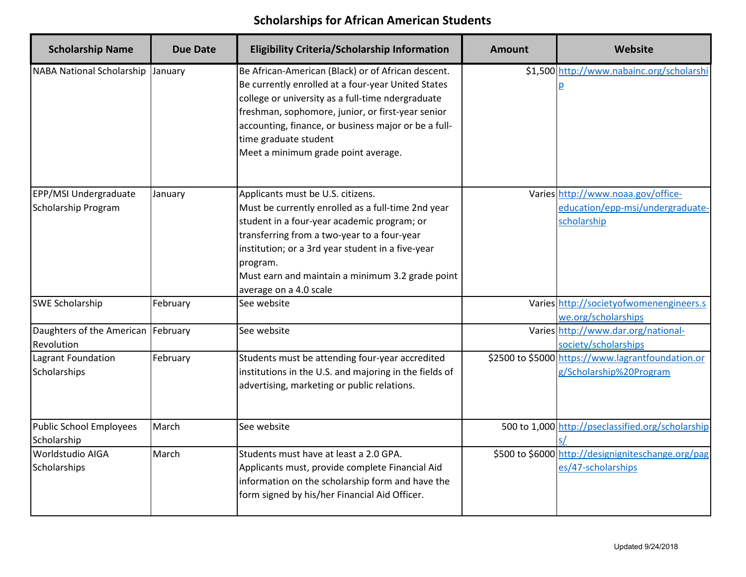| <b>Scholarship Name</b>            | <b>Due Date</b> | <b>Eligibility Criteria/Scholarship Information</b>                                                                                                                                                                                                                                                                                        | <b>Amount</b> | Website                                            |
|------------------------------------|-----------------|--------------------------------------------------------------------------------------------------------------------------------------------------------------------------------------------------------------------------------------------------------------------------------------------------------------------------------------------|---------------|----------------------------------------------------|
| <b>NABA National Scholarship</b>   | January         | Be African-American (Black) or of African descent.<br>Be currently enrolled at a four-year United States<br>college or university as a full-time ndergraduate<br>freshman, sophomore, junior, or first-year senior<br>accounting, finance, or business major or be a full-<br>time graduate student<br>Meet a minimum grade point average. |               | \$1,500 http://www.nabainc.org/scholarshi          |
| EPP/MSI Undergraduate              | January         | Applicants must be U.S. citizens.                                                                                                                                                                                                                                                                                                          |               | Varies http://www.noaa.gov/office-                 |
| Scholarship Program                |                 | Must be currently enrolled as a full-time 2nd year                                                                                                                                                                                                                                                                                         |               | education/epp-msi/undergraduate-                   |
|                                    |                 | student in a four-year academic program; or                                                                                                                                                                                                                                                                                                |               | scholarship                                        |
|                                    |                 | transferring from a two-year to a four-year                                                                                                                                                                                                                                                                                                |               |                                                    |
|                                    |                 | institution; or a 3rd year student in a five-year                                                                                                                                                                                                                                                                                          |               |                                                    |
|                                    |                 | program.                                                                                                                                                                                                                                                                                                                                   |               |                                                    |
|                                    |                 | Must earn and maintain a minimum 3.2 grade point<br>average on a 4.0 scale                                                                                                                                                                                                                                                                 |               |                                                    |
| <b>SWE Scholarship</b>             | February        | See website                                                                                                                                                                                                                                                                                                                                |               | Varies http://societyofwomenengineers.s            |
|                                    |                 |                                                                                                                                                                                                                                                                                                                                            |               | we.org/scholarships                                |
| Daughters of the American February |                 | See website                                                                                                                                                                                                                                                                                                                                |               | Varies http://www.dar.org/national-                |
| Revolution                         |                 |                                                                                                                                                                                                                                                                                                                                            |               | society/scholarships                               |
| Lagrant Foundation                 | February        | Students must be attending four-year accredited                                                                                                                                                                                                                                                                                            |               | \$2500 to \$5000 https://www.lagrantfoundation.or  |
| Scholarships                       |                 | institutions in the U.S. and majoring in the fields of                                                                                                                                                                                                                                                                                     |               | g/Scholarship%20Program                            |
|                                    |                 | advertising, marketing or public relations.                                                                                                                                                                                                                                                                                                |               |                                                    |
| Public School Employees            | March           | See website                                                                                                                                                                                                                                                                                                                                |               | 500 to 1,000 http://pseclassified.org/scholarship  |
| Scholarship                        |                 |                                                                                                                                                                                                                                                                                                                                            |               |                                                    |
| <b>Worldstudio AIGA</b>            | March           | Students must have at least a 2.0 GPA.                                                                                                                                                                                                                                                                                                     |               | \$500 to \$6000 http://designigniteschange.org/pag |
| Scholarships                       |                 | Applicants must, provide complete Financial Aid                                                                                                                                                                                                                                                                                            |               | es/47-scholarships                                 |
|                                    |                 | information on the scholarship form and have the                                                                                                                                                                                                                                                                                           |               |                                                    |
|                                    |                 | form signed by his/her Financial Aid Officer.                                                                                                                                                                                                                                                                                              |               |                                                    |
|                                    |                 |                                                                                                                                                                                                                                                                                                                                            |               |                                                    |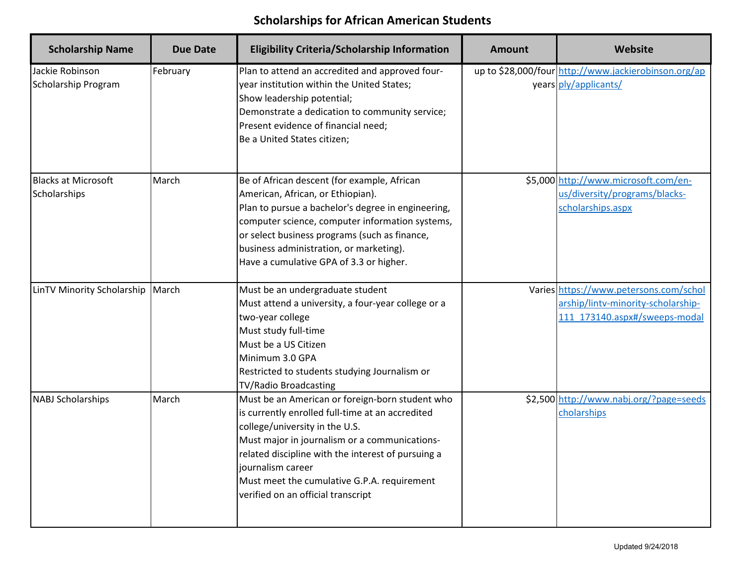| <b>Scholarship Name</b>                    | <b>Due Date</b> | <b>Eligibility Criteria/Scholarship Information</b>                                                                                                                                                                                                                                                                                                    | <b>Amount</b> | Website                                                                                                       |
|--------------------------------------------|-----------------|--------------------------------------------------------------------------------------------------------------------------------------------------------------------------------------------------------------------------------------------------------------------------------------------------------------------------------------------------------|---------------|---------------------------------------------------------------------------------------------------------------|
| Jackie Robinson<br>Scholarship Program     | February        | Plan to attend an accredited and approved four-<br>year institution within the United States;<br>Show leadership potential;<br>Demonstrate a dedication to community service;<br>Present evidence of financial need;<br>Be a United States citizen;                                                                                                    |               | up to \$28,000/four http://www.jackierobinson.org/ap<br>years ply/applicants/                                 |
| <b>Blacks at Microsoft</b><br>Scholarships | March           | Be of African descent (for example, African<br>American, African, or Ethiopian).<br>Plan to pursue a bachelor's degree in engineering,<br>computer science, computer information systems,<br>or select business programs (such as finance,<br>business administration, or marketing).<br>Have a cumulative GPA of 3.3 or higher.                       |               | \$5,000 http://www.microsoft.com/en-<br>us/diversity/programs/blacks-<br>scholarships.aspx                    |
| LinTV Minority Scholarship                 | March           | Must be an undergraduate student<br>Must attend a university, a four-year college or a<br>two-year college<br>Must study full-time<br>Must be a US Citizen<br>Minimum 3.0 GPA<br>Restricted to students studying Journalism or<br><b>TV/Radio Broadcasting</b>                                                                                         |               | Varies https://www.petersons.com/schol<br>arship/lintv-minority-scholarship-<br>111 173140.aspx#/sweeps-modal |
| <b>NABJ Scholarships</b>                   | March           | Must be an American or foreign-born student who<br>is currently enrolled full-time at an accredited<br>college/university in the U.S.<br>Must major in journalism or a communications-<br>related discipline with the interest of pursuing a<br>journalism career<br>Must meet the cumulative G.P.A. requirement<br>verified on an official transcript |               | \$2,500 http://www.nabj.org/?page=seeds<br>cholarships                                                        |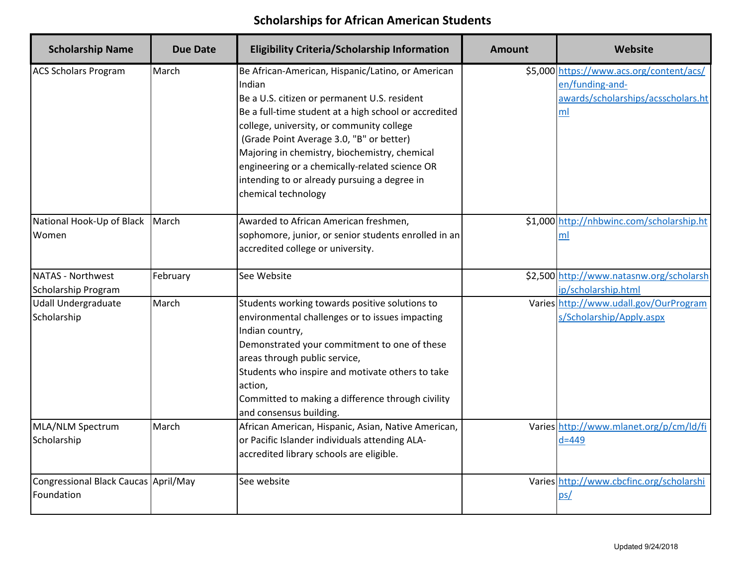| <b>Scholarship Name</b>                            | <b>Due Date</b> | <b>Eligibility Criteria/Scholarship Information</b>                                                                                                                                                                                                                                                                                                                                                                                     | <b>Amount</b> | Website                                                                                                 |
|----------------------------------------------------|-----------------|-----------------------------------------------------------------------------------------------------------------------------------------------------------------------------------------------------------------------------------------------------------------------------------------------------------------------------------------------------------------------------------------------------------------------------------------|---------------|---------------------------------------------------------------------------------------------------------|
| <b>ACS Scholars Program</b>                        | March           | Be African-American, Hispanic/Latino, or American<br>Indian<br>Be a U.S. citizen or permanent U.S. resident<br>Be a full-time student at a high school or accredited<br>college, university, or community college<br>(Grade Point Average 3.0, "B" or better)<br>Majoring in chemistry, biochemistry, chemical<br>engineering or a chemically-related science OR<br>intending to or already pursuing a degree in<br>chemical technology |               | \$5,000 https://www.acs.org/content/acs/<br>en/funding-and-<br>awards/scholarships/acsscholars.ht<br>ml |
| National Hook-Up of Black<br>Women                 | March           | Awarded to African American freshmen,<br>sophomore, junior, or senior students enrolled in an<br>accredited college or university.                                                                                                                                                                                                                                                                                                      |               | \$1,000 http://nhbwinc.com/scholarship.ht<br>ml                                                         |
| <b>NATAS - Northwest</b><br>Scholarship Program    | February        | See Website                                                                                                                                                                                                                                                                                                                                                                                                                             |               | \$2,500 http://www.natasnw.org/scholarsh<br>ip/scholarship.html                                         |
| <b>Udall Undergraduate</b><br>Scholarship          | March           | Students working towards positive solutions to<br>environmental challenges or to issues impacting<br>Indian country,<br>Demonstrated your commitment to one of these<br>areas through public service,<br>Students who inspire and motivate others to take<br>action,<br>Committed to making a difference through civility<br>and consensus building.                                                                                    |               | Varies http://www.udall.gov/OurProgram<br>s/Scholarship/Apply.aspx                                      |
| MLA/NLM Spectrum<br>Scholarship                    | March           | African American, Hispanic, Asian, Native American,<br>or Pacific Islander individuals attending ALA-<br>accredited library schools are eligible.                                                                                                                                                                                                                                                                                       |               | Varies http://www.mlanet.org/p/cm/ld/fi<br>$d = 449$                                                    |
| Congressional Black Caucas April/May<br>Foundation |                 | See website                                                                                                                                                                                                                                                                                                                                                                                                                             |               | Varies http://www.cbcfinc.org/scholarshi<br>ps/                                                         |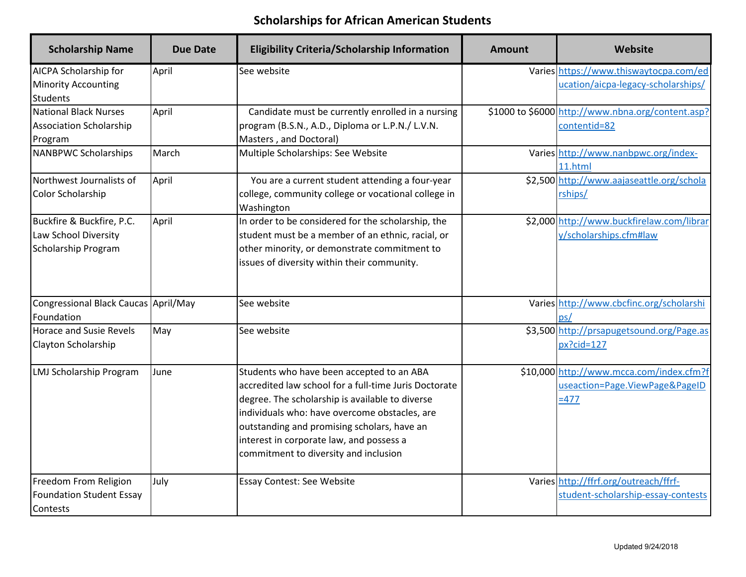| <b>Scholarship Name</b>                                                         | <b>Due Date</b> | <b>Eligibility Criteria/Scholarship Information</b>                                                                                                                                                                                                                                                                                        | <b>Amount</b> | Website                                                                              |
|---------------------------------------------------------------------------------|-----------------|--------------------------------------------------------------------------------------------------------------------------------------------------------------------------------------------------------------------------------------------------------------------------------------------------------------------------------------------|---------------|--------------------------------------------------------------------------------------|
| <b>AICPA Scholarship for</b><br><b>Minority Accounting</b><br><b>Students</b>   | April           | See website                                                                                                                                                                                                                                                                                                                                |               | Varies https://www.thiswaytocpa.com/ed<br>ucation/aicpa-legacy-scholarships/         |
| <b>National Black Nurses</b><br><b>Association Scholarship</b><br>Program       | April           | Candidate must be currently enrolled in a nursing<br>program (B.S.N., A.D., Diploma or L.P.N./ L.V.N.<br>Masters, and Doctoral)                                                                                                                                                                                                            |               | \$1000 to \$6000 http://www.nbna.org/content.asp?<br>contentid=82                    |
| <b>NANBPWC Scholarships</b>                                                     | March           | Multiple Scholarships: See Website                                                                                                                                                                                                                                                                                                         |               | Varies http://www.nanbpwc.org/index-<br>11.html                                      |
| Northwest Journalists of<br><b>Color Scholarship</b>                            | April           | You are a current student attending a four-year<br>college, community college or vocational college in<br>Washington                                                                                                                                                                                                                       |               | \$2,500 http://www.aajaseattle.org/schola<br>rships/                                 |
| Buckfire & Buckfire, P.C.<br>Law School Diversity<br><b>Scholarship Program</b> | April           | In order to be considered for the scholarship, the<br>student must be a member of an ethnic, racial, or<br>other minority, or demonstrate commitment to<br>issues of diversity within their community.                                                                                                                                     |               | \$2,000 http://www.buckfirelaw.com/librar<br>y/scholarships.cfm#law                  |
| Congressional Black Caucas April/May<br>Foundation                              |                 | See website                                                                                                                                                                                                                                                                                                                                |               | Varies http://www.cbcfinc.org/scholarshi<br><u>ps/</u>                               |
| <b>Horace and Susie Revels</b><br>Clayton Scholarship                           | May             | See website                                                                                                                                                                                                                                                                                                                                |               | \$3,500 http://prsapugetsound.org/Page.as<br>$px?cid=127$                            |
| <b>LMJ Scholarship Program</b>                                                  | June            | Students who have been accepted to an ABA<br>accredited law school for a full-time Juris Doctorate<br>degree. The scholarship is available to diverse<br>individuals who: have overcome obstacles, are<br>outstanding and promising scholars, have an<br>interest in corporate law, and possess a<br>commitment to diversity and inclusion |               | \$10,000 http://www.mcca.com/index.cfm?f<br>useaction=Page.ViewPage&PageID<br>$=477$ |
| Freedom From Religion<br><b>Foundation Student Essay</b><br>Contests            | July            | Essay Contest: See Website                                                                                                                                                                                                                                                                                                                 |               | Varies http://ffrf.org/outreach/ffrf-<br>student-scholarship-essay-contests          |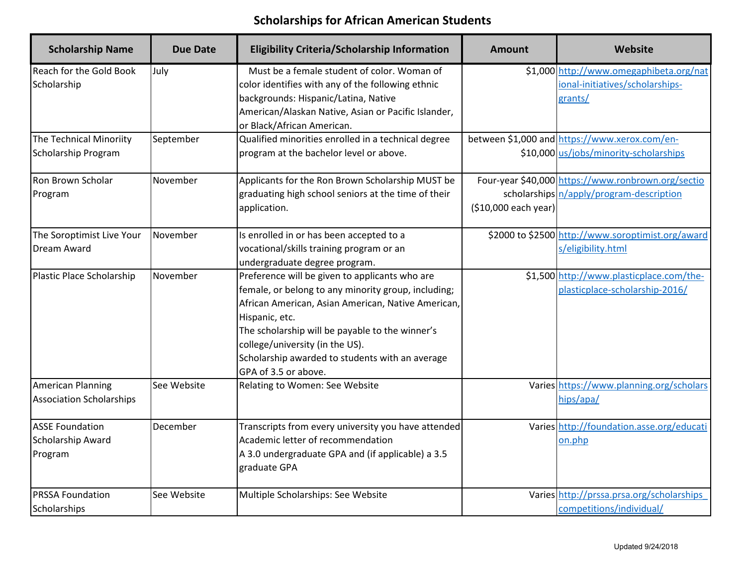| <b>Scholarship Name</b>                                     | <b>Due Date</b> | <b>Eligibility Criteria/Scholarship Information</b>                                                                                                                                                                                                                                                                                            | <b>Amount</b>        | Website                                                                                        |
|-------------------------------------------------------------|-----------------|------------------------------------------------------------------------------------------------------------------------------------------------------------------------------------------------------------------------------------------------------------------------------------------------------------------------------------------------|----------------------|------------------------------------------------------------------------------------------------|
| Reach for the Gold Book<br>Scholarship                      | July            | Must be a female student of color. Woman of<br>color identifies with any of the following ethnic<br>backgrounds: Hispanic/Latina, Native<br>American/Alaskan Native, Asian or Pacific Islander,<br>or Black/African American.                                                                                                                  |                      | \$1,000 http://www.omegaphibeta.org/nat<br>ional-initiatives/scholarships-<br>grants/          |
| The Technical Minoriity<br>Scholarship Program              | September       | Qualified minorities enrolled in a technical degree<br>program at the bachelor level or above.                                                                                                                                                                                                                                                 |                      | between \$1,000 and https://www.xerox.com/en-<br>\$10,000 us/jobs/minority-scholarships        |
| Ron Brown Scholar<br>Program                                | November        | Applicants for the Ron Brown Scholarship MUST be<br>graduating high school seniors at the time of their<br>application.                                                                                                                                                                                                                        | (\$10,000 each year) | Four-year \$40,000 https://www.ronbrown.org/sectio<br>scholarships n/apply/program-description |
| The Soroptimist Live Your<br>Dream Award                    | November        | Is enrolled in or has been accepted to a<br>vocational/skills training program or an<br>undergraduate degree program.                                                                                                                                                                                                                          |                      | \$2000 to \$2500 http://www.soroptimist.org/award<br>s/eligibility.html                        |
| Plastic Place Scholarship                                   | November        | Preference will be given to applicants who are<br>female, or belong to any minority group, including;<br>African American, Asian American, Native American,<br>Hispanic, etc.<br>The scholarship will be payable to the winner's<br>college/university (in the US).<br>Scholarship awarded to students with an average<br>GPA of 3.5 or above. |                      | \$1,500 http://www.plasticplace.com/the-<br>plasticplace-scholarship-2016/                     |
| <b>American Planning</b><br><b>Association Scholarships</b> | See Website     | Relating to Women: See Website                                                                                                                                                                                                                                                                                                                 |                      | Varies https://www.planning.org/scholars<br>hips/apa/                                          |
| <b>ASSE Foundation</b><br>Scholarship Award<br>Program      | December        | Transcripts from every university you have attended<br>Academic letter of recommendation<br>A 3.0 undergraduate GPA and (if applicable) a 3.5<br>graduate GPA                                                                                                                                                                                  |                      | Varies http://foundation.asse.org/educati<br>on.php                                            |
| <b>PRSSA Foundation</b><br>Scholarships                     | See Website     | Multiple Scholarships: See Website                                                                                                                                                                                                                                                                                                             |                      | Varies http://prssa.prsa.org/scholarships<br>competitions/individual/                          |